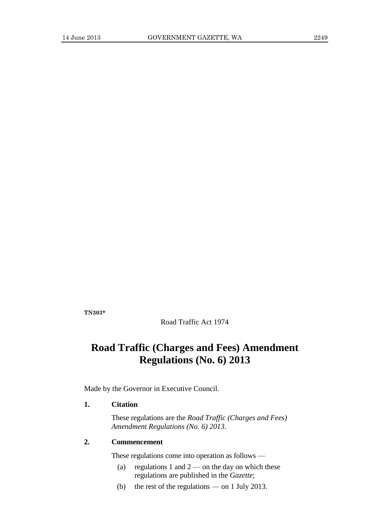**TN303\***

Road Traffic Act 1974

# **Road Traffic (Charges and Fees) Amendment Regulations (No. 6) 2013**

Made by the Governor in Executive Council.

#### **1. Citation**

These regulations are the *Road Traffic (Charges and Fees) Amendment Regulations (No. 6) 2013*.

#### **2. Commencement**

These regulations come into operation as follows —

- (a) regulations 1 and  $2$  on the day on which these regulations are published in the *Gazette*;
- (b) the rest of the regulations on 1 July 2013.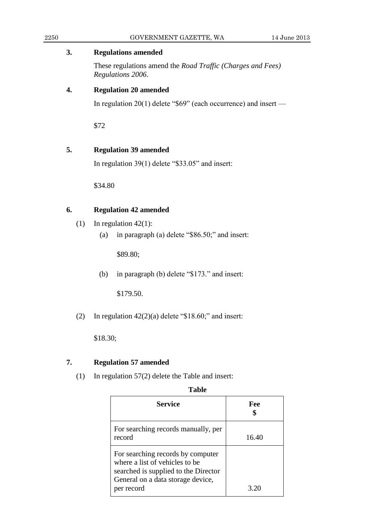#### 2250 GOVERNMENT GAZETTE, WA 14 June 2013

#### **3. Regulations amended**

These regulations amend the *Road Traffic (Charges and Fees) Regulations 2006*.

### **4. Regulation 20 amended**

In regulation 20(1) delete "\$69" (each occurrence) and insert —

\$72

# **5. Regulation 39 amended**

In regulation 39(1) delete "\$33.05" and insert:

\$34.80

# **6. Regulation 42 amended**

- (1) In regulation  $42(1)$ :
	- (a) in paragraph (a) delete "\$86.50;" and insert:

\$89.80;

(b) in paragraph (b) delete "\$173." and insert:

\$179.50.

(2) In regulation  $42(2)(a)$  delete "\$18.60;" and insert:

\$18.30;

## **7. Regulation 57 amended**

(1) In regulation 57(2) delete the Table and insert:

#### **Table**

| Service                                                                                                                                                        | Fee   |
|----------------------------------------------------------------------------------------------------------------------------------------------------------------|-------|
| For searching records manually, per<br>record                                                                                                                  | 16.40 |
| For searching records by computer<br>where a list of vehicles to be<br>searched is supplied to the Director<br>General on a data storage device,<br>per record | 3.20  |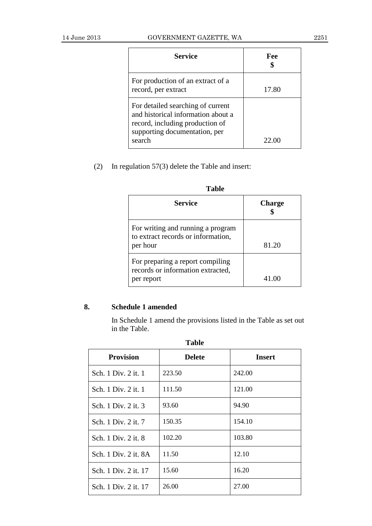| Service                                                                                                                                               | Fee   |
|-------------------------------------------------------------------------------------------------------------------------------------------------------|-------|
| For production of an extract of a<br>record, per extract                                                                                              | 17.80 |
| For detailed searching of current<br>and historical information about a<br>record, including production of<br>supporting documentation, per<br>search | 22.00 |

(2) In regulation 57(3) delete the Table and insert:

| ravic                                                                               |               |  |
|-------------------------------------------------------------------------------------|---------------|--|
| <b>Service</b>                                                                      | <b>Charge</b> |  |
| For writing and running a program<br>to extract records or information,<br>per hour | 81.20         |  |
| For preparing a report compiling<br>records or information extracted,<br>per report | 41.00         |  |

# **8. Schedule 1 amended**

In Schedule 1 amend the provisions listed in the Table as set out in the Table.

| <b>Provision</b>     | <b>Delete</b> | Insert |
|----------------------|---------------|--------|
| Sch. 1 Div. 2 it. 1  | 223.50        | 242.00 |
| Sch. 1 Div. 2 it. 1  | 111.50        | 121.00 |
| Sch. 1 Div. 2 it. 3  | 93.60         | 94.90  |
| Sch. 1 Div. 2 it. 7  | 150.35        | 154.10 |
| Sch. 1 Div. 2 it. 8  | 102.20        | 103.80 |
| Sch. 1 Div. 2 it. 8A | 11.50         | 12.10  |
| Sch. 1 Div. 2 it. 17 | 15.60         | 16.20  |
| Sch. 1 Div. 2 it. 17 | 26.00         | 27.00  |

**Table**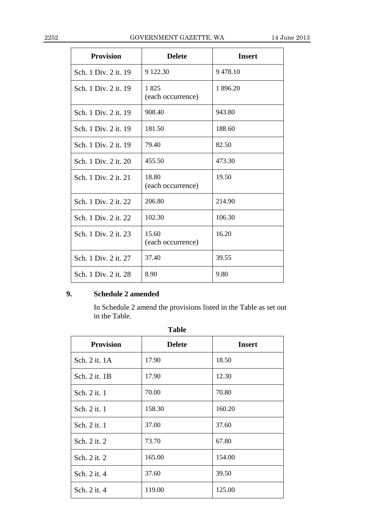| <b>Provision</b>     | <b>Delete</b>              | <b>Insert</b> |
|----------------------|----------------------------|---------------|
| Sch. 1 Div. 2 it. 19 | 9 122.30                   | 9478.10       |
| Sch. 1 Div. 2 it. 19 | 1825<br>(each occurrence)  | 1 896.20      |
| Sch. 1 Div. 2 it. 19 | 908.40                     | 943.80        |
| Sch. 1 Div. 2 it. 19 | 181.50                     | 188.60        |
| Sch. 1 Div. 2 it. 19 | 79.40                      | 82.50         |
| Sch. 1 Div. 2 it. 20 | 455.50                     | 473.30        |
| Sch. 1 Div. 2 it. 21 | 18.80<br>(each occurrence) | 19.50         |
| Sch. 1 Div. 2 it. 22 | 206.80                     | 214.90        |
| Sch. 1 Div. 2 it. 22 | 102.30                     | 106.30        |
| Sch. 1 Div. 2 it. 23 | 15.60<br>(each occurrence) | 16.20         |
| Sch. 1 Div. 2 it. 27 | 37.40                      | 39.55         |
| Sch. 1 Div. 2 it. 28 | 8.90                       | 9.80          |

# **9. Schedule 2 amended**

In Schedule 2 amend the provisions listed in the Table as set out in the Table.

| <b>Table</b>     |               |               |
|------------------|---------------|---------------|
| <b>Provision</b> | <b>Delete</b> | <b>Insert</b> |
| Sch. 2 it. 1A    | 17.90         | 18.50         |
| Sch. 2 it. 1B    | 17.90         | 12.30         |
| Sch. 2 it. 1     | 70.00         | 70.80         |
| Sch. 2 it. 1     | 158.30        | 160.20        |
| Sch. 2 it. 1     | 37.00         | 37.60         |
| Sch. 2 it. 2     | 73.70         | 67.80         |
| Sch. 2 it. 2     | 165.00        | 154.00        |
| Sch. 2 it. 4     | 37.60         | 39.50         |
| Sch. 2 it. 4     | 119.00        | 125.00        |

**Table**